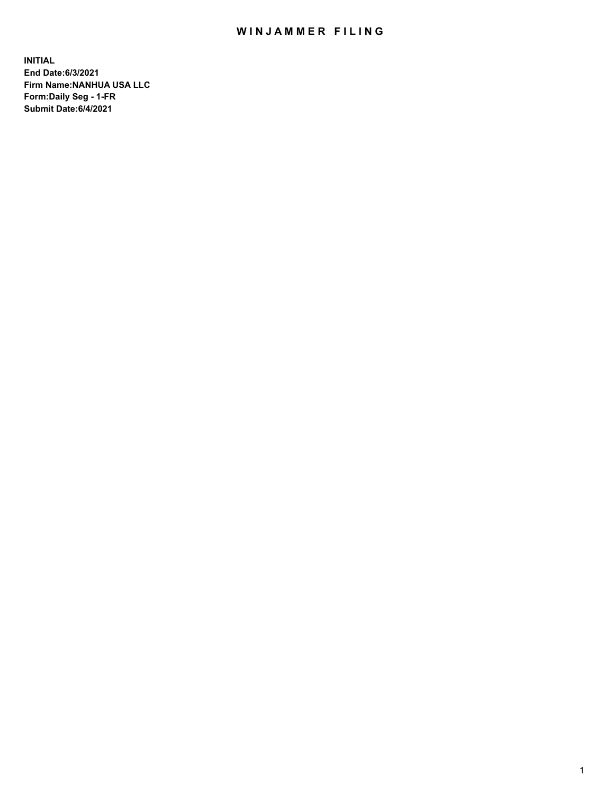## WIN JAMMER FILING

**INITIAL End Date:6/3/2021 Firm Name:NANHUA USA LLC Form:Daily Seg - 1-FR Submit Date:6/4/2021**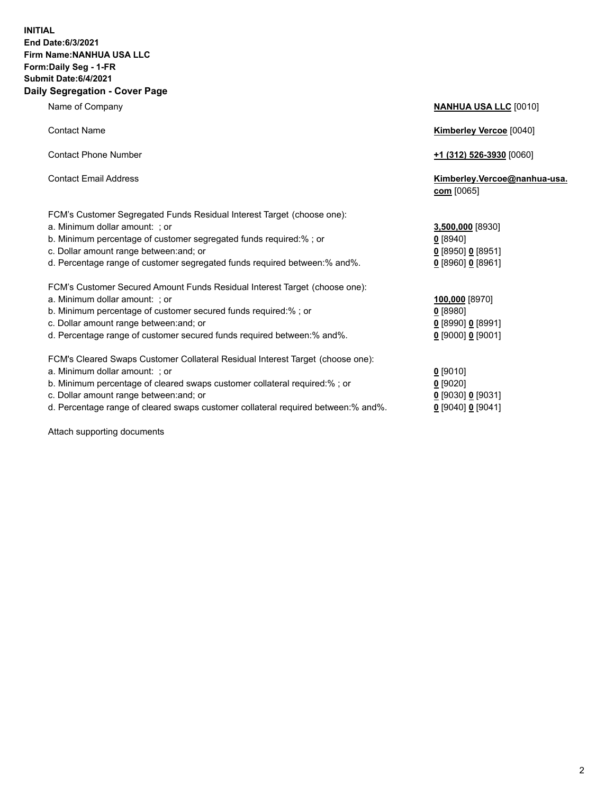## **INITIAL End Date:6/3/2021 Firm Name:NANHUA USA LLC Form:Daily Seg - 1-FR Submit Date:6/4/2021 Daily Segregation - Cover Page**

Name of Company **NANHUA USA LLC** [0010] Contact Name **Kimberley Vercoe** [0040] Contact Phone Number **+1 (312) 526-3930** [0060] Contact Email Address **Kimberley.Vercoe@nanhua-usa. com** [0065] FCM's Customer Segregated Funds Residual Interest Target (choose one): a. Minimum dollar amount: ; or **3,500,000** [8930] b. Minimum percentage of customer segregated funds required:% ; or **0** [8940] c. Dollar amount range between:and; or **0** [8950] **0** [8951] FCM's Customer Secured Amount Funds Residual Interest Target (choose one): b. Minimum percentage of customer secured funds required:% ; or **0** [8980] FCM's Cleared Swaps Customer Collateral Residual Interest Target (choose one): a. Minimum dollar amount: ; or **0** [9010] b. Minimum percentage of cleared swaps customer collateral required:% ; or **0** [9020]

d. Percentage range of cleared swaps customer collateral required between:% and%. **0** [9040] **0** [9041]

Attach supporting documents

| d. Percentage range of customer segregated funds required between:% and%.      | $0$ [8960] 0 [8961] |
|--------------------------------------------------------------------------------|---------------------|
| FCM's Customer Secured Amount Funds Residual Interest Target (choose one):     |                     |
| a. Minimum dollar amount:  ; or                                                | 100,000 [8970]      |
| b. Minimum percentage of customer secured funds required:% ; or                | $0$ [8980]          |
| c. Dollar amount range between:and; or                                         | $0$ [8990] 0 [8991] |
| d. Percentage range of customer secured funds required between:% and%.         | $0$ [9000] 0 [9001] |
| FCM's Cleared Swaps Customer Collateral Residual Interest Target (choose one): |                     |
| a. Minimum dollar amount:  ; or                                                | $0$ [9010]          |
| b. Minimum percentage of cleared swaps customer collateral required:% ; or     | $0$ [9020]          |
| c. Dollar amount range between:and; or                                         | $0$ [9030] 0 [9031] |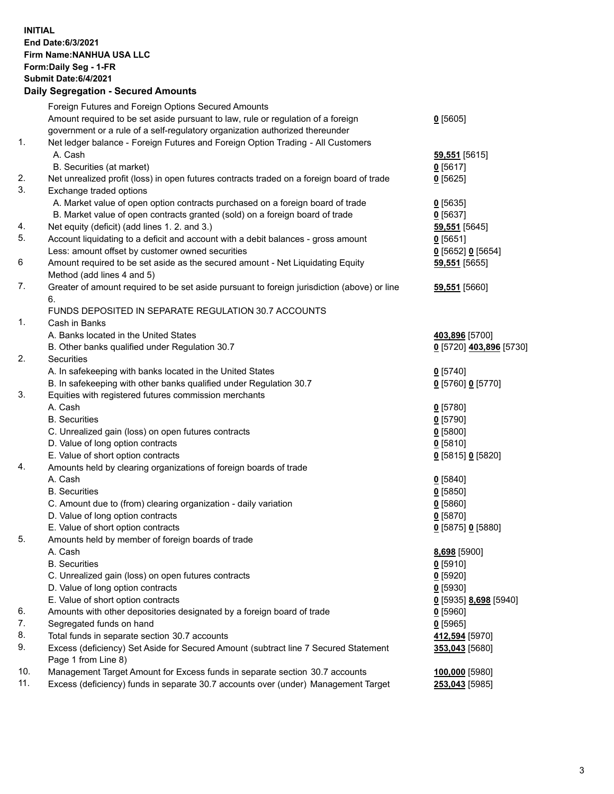## **INITIAL End Date:6/3/2021 Firm Name:NANHUA USA LLC Form:Daily Seg - 1-FR Submit Date:6/4/2021 Daily Segregation - Secured Amounts**

|                | Foreign Futures and Foreign Options Secured Amounts                                         |                         |
|----------------|---------------------------------------------------------------------------------------------|-------------------------|
|                | Amount required to be set aside pursuant to law, rule or regulation of a foreign            | $0$ [5605]              |
|                | government or a rule of a self-regulatory organization authorized thereunder                |                         |
| $\mathbf{1}$ . | Net ledger balance - Foreign Futures and Foreign Option Trading - All Customers             |                         |
|                | A. Cash                                                                                     | 59,551 [5615]           |
|                | B. Securities (at market)                                                                   | $0$ [5617]              |
| 2.             | Net unrealized profit (loss) in open futures contracts traded on a foreign board of trade   | $0$ [5625]              |
| 3.             | Exchange traded options                                                                     |                         |
|                | A. Market value of open option contracts purchased on a foreign board of trade              | $0$ [5635]              |
|                | B. Market value of open contracts granted (sold) on a foreign board of trade                | $0$ [5637]              |
| 4.             | Net equity (deficit) (add lines 1. 2. and 3.)                                               | 59,551 [5645]           |
| 5.             | Account liquidating to a deficit and account with a debit balances - gross amount           | $0$ [5651]              |
|                | Less: amount offset by customer owned securities                                            | $0$ [5652] $0$ [5654]   |
| 6              | Amount required to be set aside as the secured amount - Net Liquidating Equity              | 59,551 [5655]           |
|                | Method (add lines 4 and 5)                                                                  |                         |
| 7.             | Greater of amount required to be set aside pursuant to foreign jurisdiction (above) or line | 59,551 [5660]           |
|                | 6.                                                                                          |                         |
|                | FUNDS DEPOSITED IN SEPARATE REGULATION 30.7 ACCOUNTS                                        |                         |
| 1.             | Cash in Banks                                                                               |                         |
|                | A. Banks located in the United States                                                       | 403,896 [5700]          |
|                | B. Other banks qualified under Regulation 30.7                                              | 0 [5720] 403,896 [5730] |
| 2.             | Securities                                                                                  |                         |
|                | A. In safekeeping with banks located in the United States                                   | $0$ [5740]              |
|                | B. In safekeeping with other banks qualified under Regulation 30.7                          | $0$ [5760] $0$ [5770]   |
| 3.             | Equities with registered futures commission merchants                                       |                         |
|                | A. Cash                                                                                     | $0$ [5780]              |
|                | <b>B.</b> Securities                                                                        | $0$ [5790]              |
|                | C. Unrealized gain (loss) on open futures contracts                                         | $0$ [5800]              |
|                | D. Value of long option contracts                                                           | $0$ [5810]              |
|                | E. Value of short option contracts                                                          | 0 [5815] 0 [5820]       |
| 4.             | Amounts held by clearing organizations of foreign boards of trade                           |                         |
|                | A. Cash                                                                                     | $0$ [5840]              |
|                | <b>B.</b> Securities                                                                        | $0$ [5850]              |
|                | C. Amount due to (from) clearing organization - daily variation                             | $0$ [5860]              |
|                | D. Value of long option contracts                                                           | $0$ [5870]              |
|                | E. Value of short option contracts                                                          | 0 [5875] 0 [5880]       |
| 5.             | Amounts held by member of foreign boards of trade                                           |                         |
|                | A. Cash                                                                                     | 8,698 [5900]            |
|                | <b>B.</b> Securities                                                                        | $0$ [5910]              |
|                | C. Unrealized gain (loss) on open futures contracts                                         | $0$ [5920]              |
|                | D. Value of long option contracts                                                           | $0$ [5930]              |
|                | E. Value of short option contracts                                                          | 0 [5935] 8,698 [5940]   |
| 6.             | Amounts with other depositories designated by a foreign board of trade                      | $0$ [5960]              |
| 7.             | Segregated funds on hand                                                                    | $0$ [5965]              |
| 8.             | Total funds in separate section 30.7 accounts                                               | 412,594 [5970]          |
| 9.             | Excess (deficiency) Set Aside for Secured Amount (subtract line 7 Secured Statement         | 353,043 [5680]          |
|                | Page 1 from Line 8)                                                                         |                         |
| 10.            | Management Target Amount for Excess funds in separate section 30.7 accounts                 | 100,000 [5980]          |
| 11.            | Excess (deficiency) funds in separate 30.7 accounts over (under) Management Target          | 253,043 [5985]          |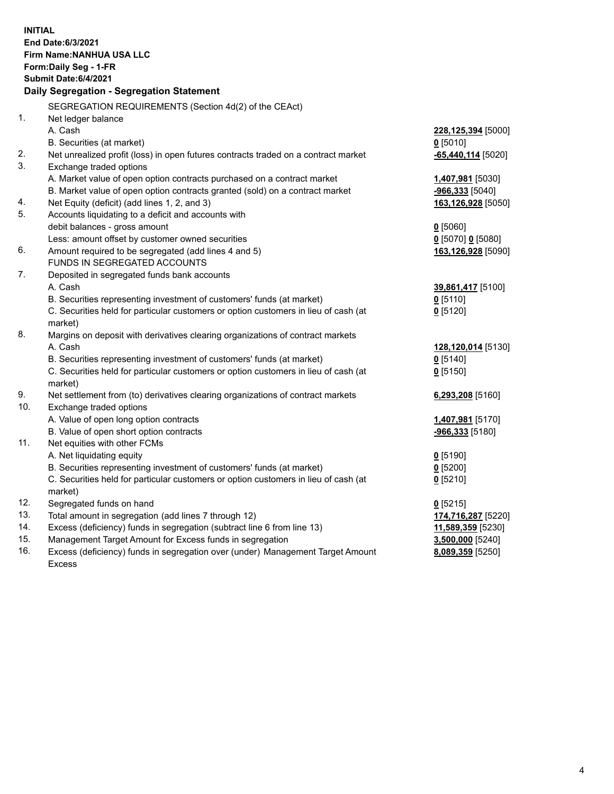| <b>INITIAL</b> | End Date:6/3/2021<br>Firm Name: NANHUA USA LLC<br>Form: Daily Seg - 1-FR<br>Submit Date: 6/4/2021<br>Daily Segregation - Segregation Statement |                        |
|----------------|------------------------------------------------------------------------------------------------------------------------------------------------|------------------------|
|                | SEGREGATION REQUIREMENTS (Section 4d(2) of the CEAct)                                                                                          |                        |
| 1.             | Net ledger balance                                                                                                                             |                        |
|                | A. Cash                                                                                                                                        | 228,125,394 [5000]     |
|                | B. Securities (at market)                                                                                                                      | $0$ [5010]             |
| 2.             | Net unrealized profit (loss) in open futures contracts traded on a contract market                                                             | $-65,440,114$ [5020]   |
| 3.             | Exchange traded options                                                                                                                        |                        |
|                | A. Market value of open option contracts purchased on a contract market                                                                        | 1,407,981 [5030]       |
|                | B. Market value of open option contracts granted (sold) on a contract market                                                                   | <u>-966,333</u> [5040] |
| 4.             | Net Equity (deficit) (add lines 1, 2, and 3)                                                                                                   | 163,126,928 [5050]     |
| 5.             | Accounts liquidating to a deficit and accounts with                                                                                            |                        |
|                | debit balances - gross amount                                                                                                                  | $0$ [5060]             |
|                | Less: amount offset by customer owned securities                                                                                               | $0$ [5070] 0 [5080]    |
| 6.             | Amount required to be segregated (add lines 4 and 5)                                                                                           | 163,126,928 [5090]     |
|                | FUNDS IN SEGREGATED ACCOUNTS                                                                                                                   |                        |
| 7.             | Deposited in segregated funds bank accounts                                                                                                    |                        |
|                | A. Cash                                                                                                                                        | 39,861,417 [5100]      |
|                | B. Securities representing investment of customers' funds (at market)                                                                          | $0$ [5110]             |
|                | C. Securities held for particular customers or option customers in lieu of cash (at                                                            | $0$ [5120]             |
|                | market)                                                                                                                                        |                        |
| 8.             | Margins on deposit with derivatives clearing organizations of contract markets                                                                 |                        |
|                | A. Cash                                                                                                                                        | 128,120,014 [5130]     |
|                | B. Securities representing investment of customers' funds (at market)                                                                          | $0$ [5140]             |
|                | C. Securities held for particular customers or option customers in lieu of cash (at                                                            | $0$ [5150]             |
|                | market)                                                                                                                                        |                        |
| 9.             | Net settlement from (to) derivatives clearing organizations of contract markets                                                                | 6,293,208 [5160]       |
| 10.            | Exchange traded options                                                                                                                        |                        |
|                | A. Value of open long option contracts                                                                                                         | 1,407,981 [5170]       |
|                | B. Value of open short option contracts                                                                                                        | -966,333 [5180]        |
| 11.            | Net equities with other FCMs                                                                                                                   |                        |
|                | A. Net liquidating equity                                                                                                                      | $0$ [5190]             |
|                | B. Securities representing investment of customers' funds (at market)                                                                          | $Q$ [5200]             |
|                | C. Securities held for particular customers or option customers in lieu of cash (at                                                            | $0$ [5210]             |
|                | market)                                                                                                                                        |                        |
| 12.            | Segregated funds on hand                                                                                                                       | $0$ [5215]             |
| 13.            | Total amount in segregation (add lines 7 through 12)                                                                                           | 174,716,287 [5220]     |
| 14.            | Excess (deficiency) funds in segregation (subtract line 6 from line 13)                                                                        | 11,589,359 [5230]      |
| 15.            | Management Target Amount for Excess funds in segregation                                                                                       | 3,500,000 [5240]       |
| 16.            | Excess (deficiency) funds in segregation over (under) Management Target Amount                                                                 | 8,089,359 [5250]       |
|                | <b>Excess</b>                                                                                                                                  |                        |